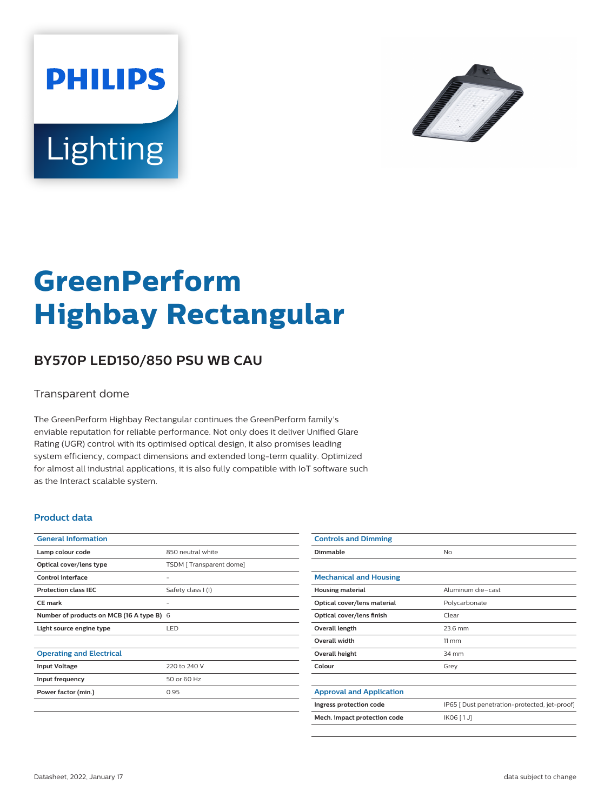



# **GreenPerform Highbay Rectangular**

## **BY570P LED150/850 PSU WB CAU**

#### Transparent dome

The GreenPerform Highbay Rectangular continues the GreenPerform family's enviable reputation for reliable performance. Not only does it deliver Unified Glare Rating (UGR) control with its optimised optical design, it also promises leading system efficiency, compact dimensions and extended long-term quality. Optimized for almost all industrial applications, it is also fully compatible with IoT software such as the Interact scalable system.

#### **Product data**

| <b>General Information</b>                |                         |
|-------------------------------------------|-------------------------|
| Lamp colour code                          | 850 neutral white       |
| Optical cover/lens type                   | TSDM [Transparent dome] |
| Control interface                         |                         |
| <b>Protection class IEC</b>               | Safety class I (I)      |
| CF mark                                   |                         |
| Number of products on MCB (16 A type B) 6 |                         |
| Light source engine type                  | LED                     |
|                                           |                         |
| <b>Operating and Electrical</b>           |                         |
| <b>Input Voltage</b>                      | 220 to 240 V            |
| Input frequency                           | 50 or 60 Hz             |
| Power factor (min.)                       | 0.95                    |
|                                           |                         |

| <b>Controls and Dimming</b>     |                                               |
|---------------------------------|-----------------------------------------------|
| Dimmable                        | <b>No</b>                                     |
|                                 |                                               |
| <b>Mechanical and Housing</b>   |                                               |
| <b>Housing material</b>         | Aluminum die-cast                             |
| Optical cover/lens material     | Polycarbonate                                 |
| Optical cover/lens finish       | Clear                                         |
| Overall length                  | 23.6 mm                                       |
| <b>Overall width</b>            | $11 \, \mathrm{mm}$                           |
| Overall height                  | 34 mm                                         |
| Colour                          | Grey                                          |
|                                 |                                               |
| <b>Approval and Application</b> |                                               |
| Ingress protection code         | IP65 [ Dust penetration-protected, jet-proof] |
| Mech. impact protection code    | IK06 [1J]                                     |
|                                 |                                               |